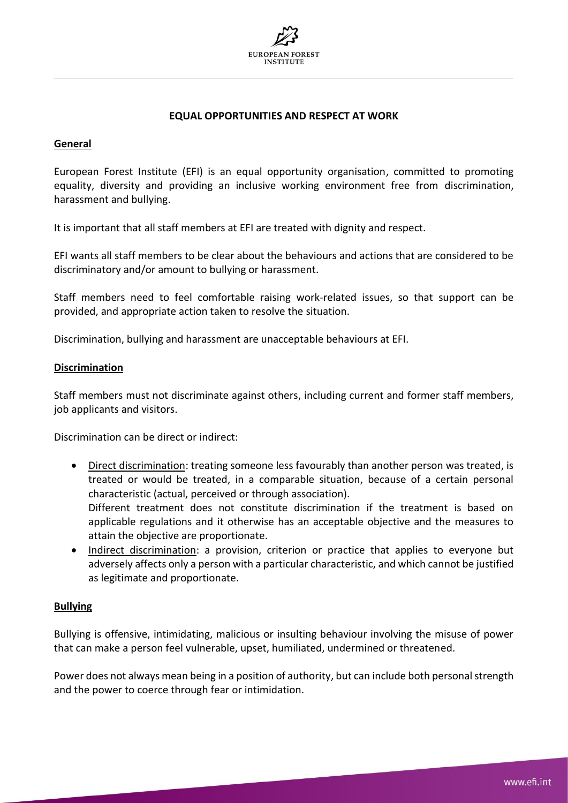

## **EQUAL OPPORTUNITIES AND RESPECT AT WORK**

### **General**

European Forest Institute (EFI) is an equal opportunity organisation, committed to promoting equality, diversity and providing an inclusive working environment free from discrimination, harassment and bullying.

It is important that all staff members at EFI are treated with dignity and respect.

EFI wants all staff members to be clear about the behaviours and actions that are considered to be discriminatory and/or amount to bullying or harassment.

Staff members need to feel comfortable raising work-related issues, so that support can be provided, and appropriate action taken to resolve the situation.

Discrimination, bullying and harassment are unacceptable behaviours at EFI.

#### **Discrimination**

Staff members must not discriminate against others, including current and former staff members, job applicants and visitors.

Discrimination can be direct or indirect:

- Direct discrimination: treating someone less favourably than another person was treated, is treated or would be treated, in a comparable situation, because of a certain personal characteristic (actual, perceived or through association). Different treatment does not constitute discrimination if the treatment is based on applicable regulations and it otherwise has an acceptable objective and the measures to attain the objective are proportionate.
- Indirect discrimination: a provision, criterion or practice that applies to everyone but adversely affects only a person with a particular characteristic, and which cannot be justified as legitimate and proportionate.

#### **Bullying**

Bullying is offensive, intimidating, malicious or insulting behaviour involving the misuse of power that can make a person feel vulnerable, upset, humiliated, undermined or threatened.

Power does not always mean being in a position of authority, but can include both personal strength and the power to coerce through fear or intimidation.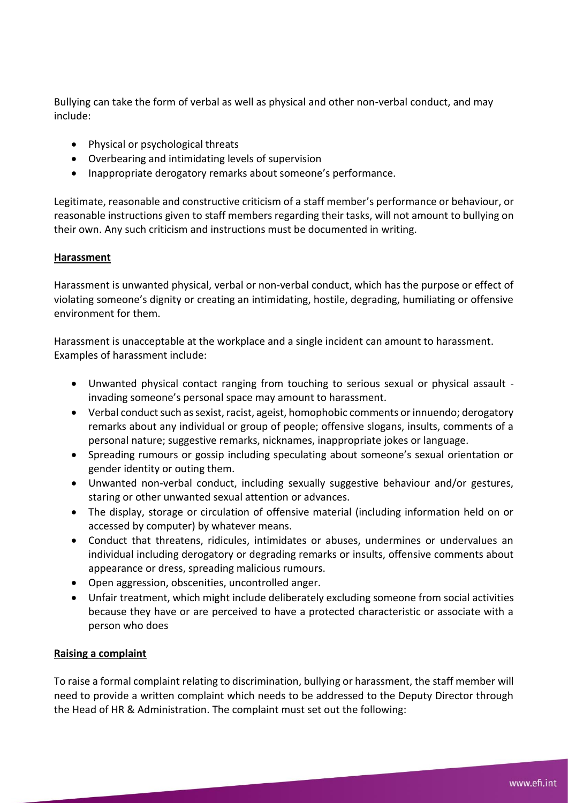Bullying can take the form of verbal as well as physical and other non-verbal conduct, and may include:

- Physical or psychological threats
- Overbearing and intimidating levels of supervision
- Inappropriate derogatory remarks about someone's performance.

Legitimate, reasonable and constructive criticism of a staff member's performance or behaviour, or reasonable instructions given to staff members regarding their tasks, will not amount to bullying on their own. Any such criticism and instructions must be documented in writing.

# **Harassment**

Harassment is unwanted physical, verbal or non-verbal conduct, which has the purpose or effect of violating someone's dignity or creating an intimidating, hostile, degrading, humiliating or offensive environment for them.

Harassment is unacceptable at the workplace and a single incident can amount to harassment. Examples of harassment include:

- Unwanted physical contact ranging from touching to serious sexual or physical assault invading someone's personal space may amount to harassment.
- Verbal conduct such as sexist, racist, ageist, homophobic comments or innuendo; derogatory remarks about any individual or group of people; offensive slogans, insults, comments of a personal nature; suggestive remarks, nicknames, inappropriate jokes or language.
- Spreading rumours or gossip including speculating about someone's sexual orientation or gender identity or outing them.
- Unwanted non-verbal conduct, including sexually suggestive behaviour and/or gestures, staring or other unwanted sexual attention or advances.
- The display, storage or circulation of offensive material (including information held on or accessed by computer) by whatever means.
- Conduct that threatens, ridicules, intimidates or abuses, undermines or undervalues an individual including derogatory or degrading remarks or insults, offensive comments about appearance or dress, spreading malicious rumours.
- Open aggression, obscenities, uncontrolled anger.
- Unfair treatment, which might include deliberately excluding someone from social activities because they have or are perceived to have a protected characteristic or associate with a person who does

## **Raising a complaint**

To raise a formal complaint relating to discrimination, bullying or harassment, the staff member will need to provide a written complaint which needs to be addressed to the Deputy Director through the Head of HR & Administration. The complaint must set out the following: